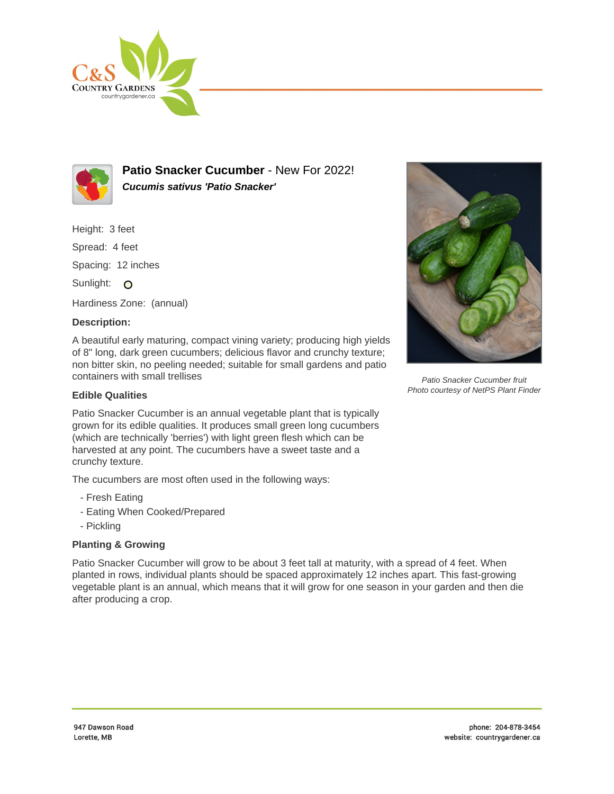



**Patio Snacker Cucumber** - New For 2022! **Cucumis sativus 'Patio Snacker'**

Height: 3 feet

Spread: 4 feet

Spacing: 12 inches

Sunlight: O

Hardiness Zone: (annual)

## **Description:**

A beautiful early maturing, compact vining variety; producing high yields of 8" long, dark green cucumbers; delicious flavor and crunchy texture; non bitter skin, no peeling needed; suitable for small gardens and patio containers with small trellises

## **Edible Qualities**

Patio Snacker Cucumber is an annual vegetable plant that is typically grown for its edible qualities. It produces small green long cucumbers (which are technically 'berries') with light green flesh which can be harvested at any point. The cucumbers have a sweet taste and a crunchy texture.

The cucumbers are most often used in the following ways:

- Fresh Eating
- Eating When Cooked/Prepared
- Pickling

## **Planting & Growing**

Patio Snacker Cucumber will grow to be about 3 feet tall at maturity, with a spread of 4 feet. When planted in rows, individual plants should be spaced approximately 12 inches apart. This fast-growing vegetable plant is an annual, which means that it will grow for one season in your garden and then die after producing a crop.



Patio Snacker Cucumber fruit Photo courtesy of NetPS Plant Finder